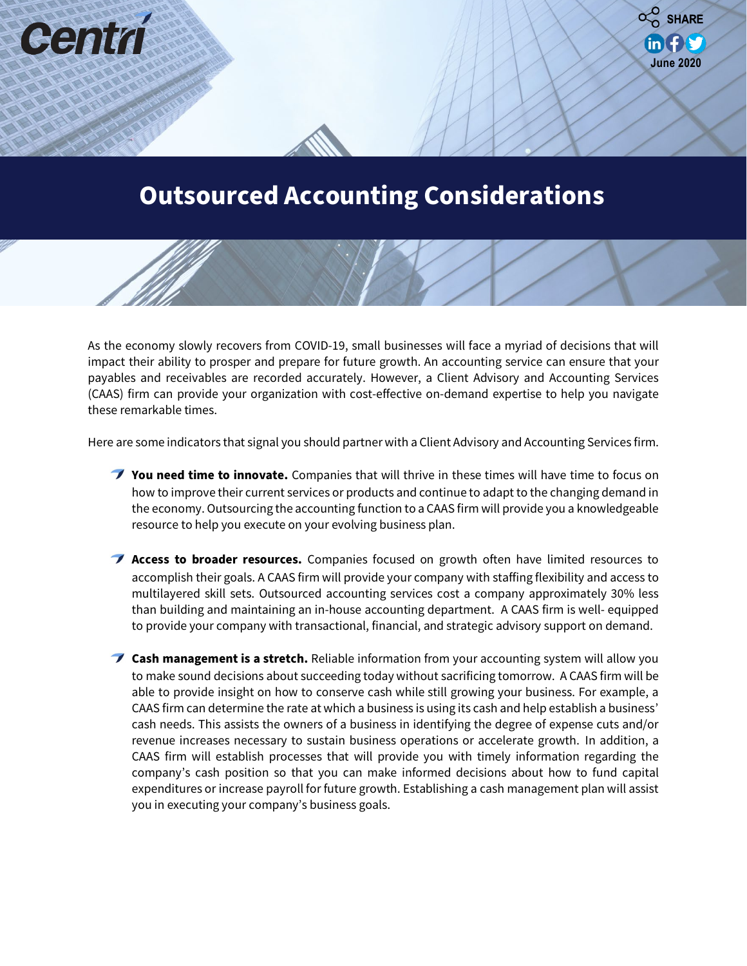

**June 2020**

 $\alpha$  SHARE

 $\mathbf{in}$  for

As the economy slowly recovers from COVID-19, small businesses will face a myriad of decisions that will impact their ability to prosper and prepare for future growth. An accounting service can ensure that your payables and receivables are recorded accurately. However, a Client Advisory and Accounting Services (CAAS) firm can provide your organization with cost-effective on-demand expertise to help you navigate these remarkable times.

counting and Other Relationships and Other Relationships and Other Relationships and Other Relationships and Other Relationships and Other Relationships and Other Relationships and Other Relationships and Other Relationshi

Cent

Here are some indicators that signal you should partner with a Client Advisory and Accounting Services firm.

- **You need time to innovate.** Companies that will thrive in these times will have time to focus on how to improve their current services or products and continue to adapt to the changing demand in the economy. Outsourcing the accounting function to a CAAS firm will provide you a knowledgeable resource to help you execute on your evolving business plan.
- **Access to broader resources.** Companies focused on growth often have limited resources to accomplish their goals. A CAAS firm will provide your company with staffing flexibility and access to multilayered skill sets. Outsourced accounting services cost a company approximately 30% less than building and maintaining an in-house accounting department. A CAAS firm is well- equipped to provide your company with transactional, financial, and strategic advisory support on demand.
- **Cash management is a stretch.** Reliable information from your accounting system will allow you to make sound decisions about succeeding today without sacrificing tomorrow. A CAAS firm will be able to provide insight on how to conserve cash while still growing your business. For example, a CAAS firm can determine the rate at which a business is using its cash and help establish a business' cash needs. This assists the owners of a business in identifying the degree of expense cuts and/or revenue increases necessary to sustain business operations or accelerate growth. In addition, a CAAS firm will establish processes that will provide you with timely information regarding the company's cash position so that you can make informed decisions about how to fund capital expenditures or increase payroll for future growth. Establishing a cash management plan will assist you in executing your company's business goals.